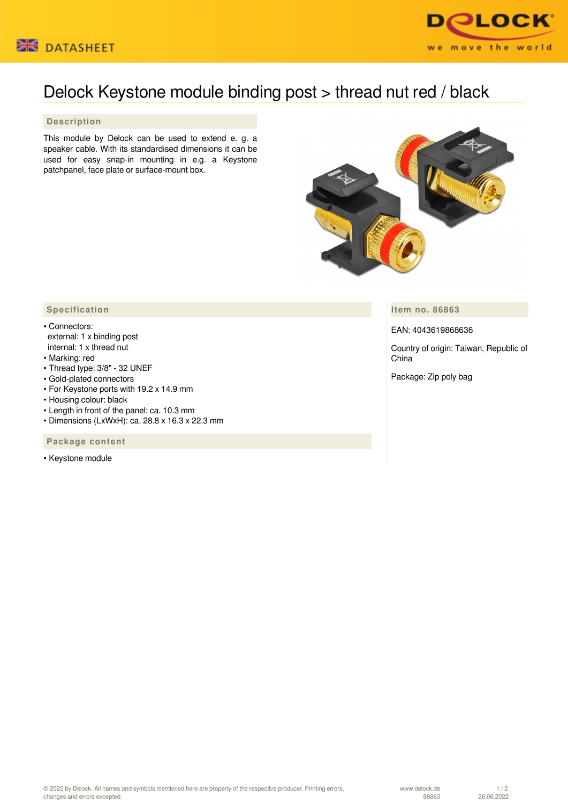



## Delock Keystone module binding post > thread nut red / black

## **Description**

This module by Delock can be used to extend e. g. a speaker cable. With its standardised dimensions it can be used for easy snap-in mounting in e.g. a Keystone patchpanel, face plate or surface-mount box.



**Item no. 86863**

## EAN: 4043619868636

Country of origin: Taiwan, Republic of China

Package: Zip poly bag

## **Specification**

- Connectors: external: 1 x binding post internal: 1 x thread nut
- Marking: red
- Thread type: 3/8" 32 UNEF
- Gold-plated connectors
- For Keystone ports with 19.2 x 14.9 mm
- Housing colour: black
- Length in front of the panel: ca. 10.3 mm
- Dimensions (LxWxH): ca. 28.8 x 16.3 x 22.3 mm

 **Package content**

• Keystone module